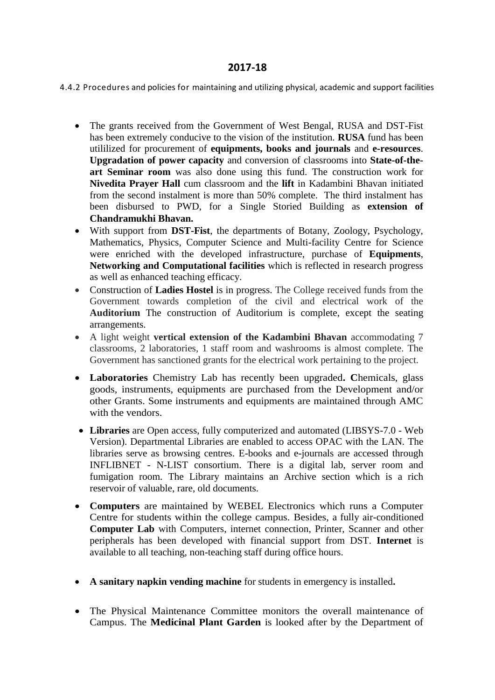## **2017-18**

4.4.2 Procedures and policies for maintaining and utilizing physical, academic and support facilities

- The grants received from the Government of West Bengal, RUSA and DST-Fist has been extremely conducive to the vision of the institution. **RUSA** fund has been utililized for procurement of **equipments, books and journals** and **e-resources**. **Upgradation of power capacity** and conversion of classrooms into **State-of-theart Seminar room** was also done using this fund. The construction work for **Nivedita Prayer Hall** cum classroom and the **lift** in Kadambini Bhavan initiated from the second instalment is more than 50% complete. The third instalment has been disbursed to PWD, for a Single Storied Building as **extension of Chandramukhi Bhavan.**
- With support from **DST-Fist**, the departments of Botany, Zoology, Psychology, Mathematics, Physics, Computer Science and Multi-facility Centre for Science were enriched with the developed infrastructure, purchase of **Equipments**, **Networking and Computational facilities** which is reflected in research progress as well as enhanced teaching efficacy.
- Construction of **Ladies Hostel** is in progress. The College received funds from the Government towards completion of the civil and electrical work of the **Auditorium** The construction of Auditorium is complete, except the seating arrangements.
- A light weight **vertical extension of the Kadambini Bhavan** accommodating 7 classrooms, 2 laboratories, 1 staff room and washrooms is almost complete. The Government has sanctioned grants for the electrical work pertaining to the project.
- **Laboratories** Chemistry Lab has recently been upgraded**. C**hemicals, glass goods, instruments, equipments are purchased from the Development and/or other Grants. Some instruments and equipments are maintained through AMC with the vendors.
- **Libraries** are Open access, fully computerized and automated (LIBSYS-7.0 Web Version). Departmental Libraries are enabled to access OPAC with the LAN. The libraries serve as browsing centres. E-books and e-journals are accessed through INFLIBNET - N-LIST consortium. There is a digital lab, server room and fumigation room. The Library maintains an Archive section which is a rich reservoir of valuable, rare, old documents.
- **Computers** are maintained by WEBEL Electronics which runs a Computer Centre for students within the college campus. Besides, a fully air-conditioned **Computer Lab** with Computers, internet connection, Printer, Scanner and other peripherals has been developed with financial support from DST. **Internet** is available to all teaching, non-teaching staff during office hours.
- **A sanitary napkin vending machine** for students in emergency is installed**.**
- The Physical Maintenance Committee monitors the overall maintenance of Campus. The **Medicinal Plant Garden** is looked after by the Department of